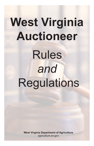# **West Virginia Auctioneer** Rules *and* **Regulations**

**West Virginia Department of Agriculture** agriculture.wv.gov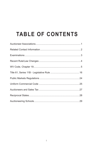# **TABLE OF CONTENTS**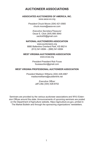# **AUCTIONEER ASSOCIATIONS**

#### **ASSOCIATED AUCTIONEERS OF AMERICA, INC.**

www.aaoa-wv.org

*President* Chuck Moore (304) 421-0565 chuck.moore@aaoa-wv.com

> *Executive Secretary/Treasurer* Oscar E. Click (304) 895-3640 oeclick50@gmail.com

#### **NATIONAL AUCTIONEERS ASSOCIATION**

www.auctioneers.org 8880 Ballentine Overland Park, KS 66214 (913) 541-8084 – (888) 541-8084

#### **WEST VIRGINIA AUCTIONEERS ASSOCIATION**

www.wvaa.org

*President* President Rob Fouss foussauction@gmail.com

#### **WEST VIRGINIA PROFESSIONAL AUCTIONEER ASSOCIATION**

*President* Madison Williams (304) 428-4967 madisonwilliams@suddenlink.net

> *Executive Officer* Jeff Little (304) 428-8702

Seminars are provided by the various auctioneer associations and WVU Extension Offices around the state. Announcements of upcoming seminars are posted on the Department of Agriculture website, https://agriculture.wv.gov, printed in The Market Bulletin and through the sponsoring organizations' newsletters.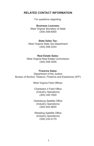## **RELATED CONTACT INFORMATION**

For questions regarding:

**Business Licenses:** West Virginia Secretary of State (304) 558-6000

#### **State Sales Tax:**

West Virginia State Tax Department (304) 558-3333

#### **Real Estate Sales:**

West Virginia Real Estate Commission (304) 558-3555

#### **Firearms Sales:**

Department of the Justice Bureau of Alcohol, Tobacco, Firearms and Explosives (ATF)

West Virginia Field Offices:

Charleston II Field Office (Industry Operations) (304) 340-7820

Clarksburg Satellite Office (Industry Operations) (304) 842-9830

Wheeling Satellite Office (Industry Operations) (304) 232-4170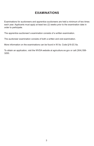# **EXAMINATIONS**

Examinations for auctioneers and apprentice auctioneers are held a minimum of two times each year. Applicants must apply at least two (2) weeks prior to the examination date in order to participate.

The apprentice auctioneer's examination consists of a written examination.

The auctioneer examination consists of both a written and oral examination.

More information on the examinations can be found in W.Va. Code §19-2C-5a.

To obtain an application, visit the WVDA website at agriculture.wv.gov or call (304) 558- 3200.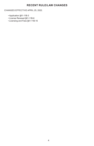### **RECENT RULE/LAW CHANGES**

CHANGES EFFECTIVE APRIL 25, 2022.

- Application §61-11B-3
- License Renewal §61-11B-6
- Licensing and Fees §61-11B-16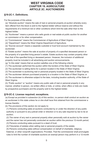#### **WEST VIRGINIA CODE CHAPTER 19. AGRICULTURE ARTICLE 2C. AUCTIONEERS**

#### **§19-2C-1. Definitions.**

For the purposes of this article:

(a) "Absolute auction" means the sale of real or personal property at auction whereby every item offered from the block is sold to the highest bidder without reserve and without the requirements of a minimum bid or other conditions which limit the sale other than to the highest bidder.

(b) "Auctioneer" means a person who sells goods or real estate at public auction for another on commission or for other compensation.

(c) "Commissioner" means the Commissioner of Agriculture of West Virginia.

(d) "Department" means the West Virginia Department of Agriculture.

(e) "Escrow account" means a separate custodial or trust fund account maintained by the auctioneer.

(f) "Estate auction" means the sale at auction of property of a specified deceased person or the property of a specified living person"s estate. Estate auctions may contain property other than that of the specified living or deceased person. However, the inclusion of additional property must be included in all advertising and auction announcements.

(g) "In this state" means that an auction satisfies one of the following criteria:

(1) The auctioneer performed the auction within the borders of the State of West Virginia;

(2) The auctioneer is selling items for a person located in the State of West Virginia;

(3) The auctioneer is auctioning real or personal property located in the State of West Virginia;

(4) The auctioneer delivers purchased property to a location in the State of West Virginia; or

(5) The auctioneer is otherwise subject to the laws, including taxation authority, of the State of West Virginia.

(h) "Public auction" or "auction" means any public sale of real or personal property in any manner, whether in-person, via written offers or bids, or online, when offers or bids are made by prospective purchasers and the property sold to the highest bidder.

#### **§19-2C-2. License required; exceptions.**

(a) Except as provided in subsection (b) of this section, no person shall conduct an auction as an auctioneer in this state unless he or she shall have first obtained from the commissioner a license therefor.

(b) The provisions of this section do not apply to:

(1) Persons conducting sales at auctions conducted by or under the direction of any public authority or pursuant to any judicial order or direction or to any sale required by law to be at auction;

(2) The owner of any real or personal property when personally sold at auction by the owner and the owner has not personally conducted an auction within the previous 12-month period;

(3) Persons conducting sales pursuant to a deed of trust;

(4) Fiduciaries of estates when selling real or personal property of the estate;

(5) Persons conducting sales without compensation on behalf of charitable, religious,

fraternal, or other nonprofit organizations: Provided, That the commissioner shall promulgate rules to limit the number of charitable auctions an exempt person may perform in a 12-month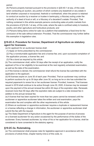period;

(6) Persons properly licensed pursuant to the provisions in §30-40-1 et seq. of this code when conducting an auction, any portion of which contains any leasehold or any estate in land whether corporeal or incorporeal, freehold or nonfreehold, when the person is retained to conduct an auction by a receiver or trustee in bankruptcy, a fiduciary acting under the authority of a deed of trust or will, or a fiduciary of a decedent"s estate: Provided, That nothing contained in this article exempts persons conducting sales at public markets from the provisions of §19-2A-1 et seq. of this code, where the sale is confined solely to livestock, poultry, and other agriculture and horticulture products; and

(7) Persons listing items online for sale via a platform that establishes a fixed time for the conclusion of the sale without extension: Provided, That the commissioner may further define this exemption in legislative rules.

#### **§19-2C-3. Procedure for license; Department of Agriculture as statutory agent for licensees.**

(a) An applicant for an auctioneer license shall:

(1) Apply on forms prescribed by the commissioner;

(2) Pay a nonreturnable application fee and a license fee; and, upon successful completion of the application process, a license fee; and

(3) File a bond as required by this article.

(b) The commissioner shall, within 30 days after the receipt of an application, notify the applicant of his or her eligibility to be examined at the next regularly scheduled examination, as well as the date of the examination.

(c) If the license is denied, the commissioner shall refund the license fee submitted with the application to the applicant.

(d) All licenses expire on June 30 of each year: Provided, That an auctioneer may continue to perform auctions for up to 30 days after June 30, so long as he or she has submitted the required paperwork to renew his or her auctioneer license: Provided, however, That licenses issued in 2019 shall continue to be active through June 30, 2020. A license may be renewed upon the payment of the annual renewal fee within 60 days of the expiration date. Renewals received more than 60 days after the expiration date are subject to a late renewal fee in addition to the annual renewal fee.

(e) A license that has been expired for more than two years cannot be renewed until the auctioneer or apprentice auctioneer takes the written and oral examination, pays the examination fee and complies with the other requirements of this article.

(f) Where an auctioneer or apprentice auctioneer requires a duplicate or replacement license or a license reflecting a change in information, the auctioneer or apprentice auctioneer shall submit the fee with the request.

(g) The State Department of Agriculture is the agent for the purpose of service of process on a licensed auctioneer for any action occasioned by the performance of the duties of the auctioneer. Every licensed auctioneer, by virtue of his or her application for a license, shall be considered to have consented to the statutory agency.

#### **§19-2C-3a. Rulemaking.**

(a) The commissioner shall propose rules for legislative approval in accordance with the provisions of article three, chapter twenty-nine-a of this code, to: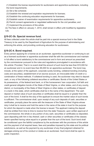(1) Establish the license requirements for auctioneers and apprentice auctioneers, including the bond requirements;

(2) Set a fee schedule;

(3) Establish the renewal and expiration requirements for licenses;

(4) Establish the continuing education requirements for licensees;

(5) Establish waiver of examination requirements for apprentice auctioneers;

(6) Permit consent agreements or negotiated settlements for the civil penalties; and

(7) Implement the provisions of this article.

(b) The fees in effect on January 1, 2014, shall remain in effect until modified by legislative rule.

#### **§19-2C-3b. Special revenue fund.**

All fees collected under this article shall be paid into a special revenue fund in the State Treasury to be used by the Department of Agriculture for the purpose of administering and enforcing this article, and providing continuing education for auctioneers.

#### **§19-2C-4. Bond required.**

Every person applying for a license as an auctioneer, apprentice auctioneer or continuing to act as a licensed auctioneer or apprentice auctioneer shall file with the commissioner and maintain in full effect a bond satisfactory to the commissioner and in form and amount as prescribed by the commissioner pursuant to the rules and regulations promulgated in accordance with this article: Provided, That in no event shall the amount of such bond be less than \$10,000 for an auctioneer and in no event less than \$5,000 for an apprentice auctioneer. The bond may include, at the option of the applicant, corporate surety bonding, collateral bonding (including costs and securities), establishment of an escrow account, an irrevocable letter of credit or a combination of these methods. If collateral bonding is used, the auctioneer may elect to deposit cash, or any of the following collateral securities or certificates: Bonds of the United States or its possessions, of the federal land bank, or of the homeowners' loan corporation; full faith and credit general obligation bonds of the State of West Virginia, or other states, and of any county, district, or municipality of the State of West Virginia or other states; or certificates of deposit in a bank in this state, which certificates shall be in the name of the department. The cash deposit or market value of such securities or certificates shall be equal to or greater than the sum of the bond. It shall be the duty of the applicant to ensure the market value of such bonds is sufficient. The commissioner shall, upon receipt of any such deposits of cash, securities or certificates, promptly place the same with the treasurer of the State of West Virginia whose duty it shall be to receive and hold the same in the name of the state in trust for the purpose for which the deposit is made when the license is issued. The applicant making the deposit shall be entitled from time to time to receive from the state Treasurer, upon written approval of the commissioner, the whole or any portion of any cash, securities or certificates so deposited, upon depositing with him in lieu thereof, cash or other securities or certificates of the classes herein specified having value equal to or greater than the sum of the bond. Such bond shall be conditioned upon the faithful compliance by the auctioneer with the provisions of this article and the payment of all required taxes, fees and penalties imposed by this state and its political subdivisions, as well as the payment by any auctioneer of any final judgment obtained for damages arising out of his conduct or duties as an auctioneer. Such bond shall be open to public inspection.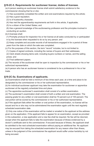#### **§19-2C-5. Requirements for auctioneer license; duties of licensee.**

(a) A person seeking an auctioneer license shall submit satisfactory evidence to the commissioner showing that he or she:

(1) Has successfully completed the written and oral examinations required by this article;

(2) Has a good reputation;

(3) Is of trustworthy character;

(4) Has met the apprenticeship requirements set forth in this article, if applicable;

(5) Is a citizen of the United States; and

(6) Has a general knowledge of the auctioneering profession and the principles involved in conducting an auction.

(b) A licensee shall:

(1) Promptly produce for inspection his or her license at all sales conducted by or participated in by the licensee when requested to do so by any person; and

(2) Keep complete and accurate records of all transactions engaged in for a period of three years from the date on which the sale was completed.

(c) For the purposes of this section, the term "record" includes, but is not limited to:

(1) Copies of signed contracts, including the names of buyers and their addresses;

(2) Clerk sheets showing items sold, including buyers numbers or names, and the selling prices; and

(3) Final settlement papers.

(d) The records of the auctioneer shall be open to inspection by the commissioner or his or her authorized representative.

(e) A person who has an auctioneer license is considered to be a professional in his or her trade.

#### **§19-2C-5a. Examinations of applicants.**

(a) Examinations shall be held a minimum of two times each year, at a time and place to be designated by the commissioner or his or her authorized representative.

(b) An individual auctioneer applicant may take the examination for auctioneer or apprentice auctioneer at the regularly scheduled time and place.

(c) The apprentice auctioneer"s examination shall consist of a written examination.

(d) The auctioneer"s examination shall consist of both a written and oral examination. The passing grade for any written or oral examination shall be 70 percent out of 100 percent. The oral portion will be scored by the commissioner or his or her authorized representative. (e) If the applicant fails either the written or oral portion of the examination, no license will be issued and he or she may not be administered the examination again until the next regularly scheduled examination date.

 (f) Only one notice of the examination will be mailed or emailed to the applicant at the address given on the application. If the applicant fails to appear for an examination, except as provided in this subsection, a new application and a new fee shall be required. No fee will be returned, except when the applicant fails to take the examination because of illness evidenced by a doctor"s certificate sent to the commissioner. If excused because of illness, the applicant shall be admitted to the next scheduled examination without paying an additional fee. No applicant may be excused from taking the scheduled examination for any reason other than illness, unless in the judgment of the commissioner the applicant would suffer undue hardship by not being excused.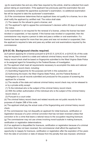(g) An examination fee and any other fees required by this article, shall be collected from each person taking an examination. If the applicant has previously paid the examination fee and successfully completed the apprentice auctioneer"s examination, no additional examination fee will be required to take the auctioneer"s examination.

 (h) If the commissioner determines that an applicant does not qualify for a license, he or she shall notify the applicant by certified mail. The notice shall state:

(1) The reason for the refusal to grant a license; and

(2) The applicant"s right to appeal the commissioner"s decision within 20 days of receipt of the notice.

 (i) An examination is not required for the renewal of a license, unless the license has been revoked or suspended, or has expired. If the license was revoked or suspended, then the commissioner may require a person to take and pass a written or oral examination. If a license has been expired for more than two years and was not revoked or suspended, then the applicant is required to take and pass any written and oral examinations required by the commissioner.

#### **§19-2C-5b. Background checks required.**

(a) A person applying for a license pursuant to §19-2C-5, §19-2C-6, or §19-2C-6c of this code may be required to submit to a state and national criminal history record check. The criminal history record check shall be based on fingerprints submitted to the West Virginia State Police or its assigned agent for forwarding to the Federal Bureau of Investigation.

(b) The applicant shall meet all requirements necessary to accomplish the state and national criminal history record check, including:

(1) Submitting fingerprints for the purposes set forth in this subsection; and

(2) Authorizing the board, the West Virginia State Police, and the Federal Bureau of Investigation to use all records submitted and produced for the purpose of screening the applicant for a license.

(c) The results of the state and national criminal history record check may not be released to or by a private entity except:

(1) To the individual who is the subject of the criminal history record check;

(2) With the written authorization of the individual who is the subject of the criminal history record check; or

(3) Pursuant to a court order.

(d) The criminal history record check and related records are not public records for the purposes of chapter 29B of this code.

(e) The applicant shall pay the actual costs of the fingerprinting and criminal history record check.

(f) The commissioner may not disqualify an applicant for initial licensure, certification or registration because of a prior criminal conviction that has not been reversed unless that conviction is for a crime that bears a rational nexus to the occupation requiring licensure.

(g) The commissioner may not use crimes involving moral turpitude in making licensure, certification or registration determinations.

(h) If an applicant is disqualified for licensure, certification or registration because of a criminal conviction that has not been reversed, the commissioner shall afford the applicant the opportunity to reapply for licensure, certification or registration after the expiration of five years from the date of conviction or date of release from the penalty that was imposed, whichever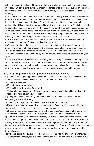is later, if the individual has not been convicted of any other crime during that period of time: Provided, That convictions for violent or sexual offenses or offenses shall subject an individual to a longer period of disqualification, to be determined by the individual board or licensing authority.

(i) An individual with a criminal record who has not previously applied for licensure, certification or registration may petition the commissioner at any time for a determination of whether the individual"s criminal record will disqualify the individual from obtaining a license or other authorization. This petition shall include sufficient details about the individual"s criminal record to enable the commissioner to identify the jurisdiction where the conviction occurred, the date of the conviction and the specific nature of the conviction. The commissioner shall inform the individual of his or her standing within 60 days of receiving the petition from the applicant. The licensing authority may charge a fee to recoup its costs for each petition.

(j) Nothing in this section alters the standards and procedures the commissioner uses for evaluating licensure, certification or registration renewals.

(k) The commissioner shall propose rules or amendments to existing rules for legislative approval to comply with the provisions of this section. These rules or amendments to rules shall be proposed pursuant to the provisions of §29A-3-1 et seq. of this code within the applicable time limit to be considered by the Legislature during its regular session in the year 2020.

(l) The provisions of this section, enacted during the 2019 Regular Session of the Legislature, shall not apply to current licensees who maintain active licensure, but shall apply to individuals currently holding an apprentice auctioneer license who are applying for an auctioneer license, or to any current license holder whose license lapses and who is required to reapply.

#### **§19-2C-6. Requirements for apprentice auctioneer license.**

(a) A person seeking an apprentice auctioneer license shall furnish to the commissioner, on forms provided by the commissioner, satisfactory proof that he or she:

(1) Has a good reputation;

(2) Is a trustworthy character;

(3) Is a citizen of the United States; and

(4) Has taken and passed a written examination relating to the skills and knowledge of the statutes and rules governing auctioneers.

(b) An apprentice auctioneer may take the examination to become an auctioneer after completing one of the following:

(1) Serving a two-year apprenticeship under a licensed auctioneer; or

(2) Attending a nationally accredited graduate school of auctioneering, approved by the commissioner, and serving an apprenticeship of six months.

(c) Before an apprentice auctioneer may take the auctioneer"s examination, the apprentice auctioneer shall conduct at least six auction sales under the direct supervision of the sponsoring auctioneer. The commissioner may waive the requirements of this section, on an individual basis, upon the presentation of written evidence that the applicant has educational training or exceptional experience in the auctioneering profession and that the applicant has been unable to obtain sponsorship by a licensed auctioneer: Provided, That the commissioner may not waive apprenticeship requirements for an applicant without the concurrence of the board of review.

(d) When an apprentice auctioneer is discharged or terminates his or her employment with an auctioneer for any reason, the auctioneer shall immediately provide written notification to the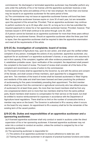commissioner. No discharged or terminated apprentice auctioneer may thereafter perform any acts under the authority of his or her license until the apprentice auctioneer receives a new license bearing the name and address of his or her new employer. No more than one license may be issued to an apprentice auctioneer for the same period of time.

(e) The commissioner may not issue an apprentice auctioneer license until bond has been filed. All apprentice auctioneer licenses expire on June 30 of each year, but are renewable upon the payment of the annual fee: Provided, That an apprentice auctioneer may continue to perform auctions for up to 20 days after June 30, so long as he or she has submitted the required paperwork to renew his or her apprentice auctioneer license: Provided, however, That licenses issued in 2019 shall continue to be active through June 30, 2020.

(f) A person cannot be licensed as an apprentice auctioneer for more than three years without applying for an auctioneer license. Should an apprentice auctioneer allow the three year limit to lapse, then the apprentice auctioneer shall be required to take the apprentice examination and meet all the requirements of this article.

#### **§19-2C-6a. Investigation of complaints; board of review.**

(a) The Department of Agriculture may, upon its own action, and shall upon the verified written complaint of any person, investigate the actions of any auctioneer, apprentice auctioneer, any applicant for an auctioneer"s or apprentice auctioneer"s license, or any person who assumes to act in that capacity, if the complaint, together with other evidence presented in connection with it, establishes probable cause. Upon verification of the complaint, the department shall present the complaint to the board of review. The board of review shall consider all of the facts of the complaint and recommend a course of action to the commissioner.

(b) The board of review shall be appointed by the Governor, by and with the advice and consent of the Senate, and shall consist of three members, each appointed for a staggered threeyear term. Two members of the board of review shall be licensed auctioneers in West Virginia and residents of this state and shall have been licensed and been practicing the profession of auctioneering for five years immediately preceding their appointment. The third member shall be a lay person from the commercial or agricultural community who has utilized services of auctioneers for at least three years. No more than two board members shall be from any one congressional district and no more than two members shall be from the same political party. Board members shall receive no compensation for their service on the board, but shall be entitled to receive reimbursement for expenses in accordance with the Department of Agriculture travel regulations. There shall be no limit on the number of consecutive terms a member may serve on the board. The Governor is authorized to fill a vacancy when it occurs on the board for any reason. An appointment to fill a vacancy shall be for the remainder of the existing term of the vacant position.

#### **§19-2C-6b. Duties and responsibilities of an apprentice auctioneer and a sponsoring auctioneer.**

(a) A licensed apprentice auctioneer shall only conduct or assist in auctions under the direct supervision of his or her sponsoring auctioneer. A licensed apprentice auctioneer may not enter into a contract to conduct an auction, unless the contract is cosigned by his or her sponsoring auctioneer.

(b) The sponsoring auctioneer is responsible for:

- (1) The actions of an apprentice auctioneer to ensure adherence to state law; and
- (2) Training the apprentice auctioneer in all aspects of practical business functions and duties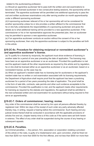related to the auctioneering profession.

(c) Should an apprentice auctioneer fail to pass both the written and oral examinations to become a fully licensed auctioneer in two consecutive testing sessions, the sponsorship will be terminated. The apprentice auctioneer will be permitted one additional opportunity to pass the oral and written auctioneer examinations only after serving another six month apprenticeship under a different sponsoring auctioneer.

(d) A sponsoring auctioneer relieved of his or her sponsorship will not be considered for another sponsorship unless he or she provides a written affidavit to the commissioner that he or she fully understands the responsibilities of a sponsoring auctioneer and gives the details as to what additional training will be provided to a new apprentice auctioneer. If the commissioner or his or her representative approves the presented plan, then an auctioneer may be permitted to sponsor a new apprentice auctioneer.

(e) If an apprentice auctioneer conducts an auction without the consent of his or her sponsoring auctioneer, then only the apprentice auctioneer is subject to the penalties set forth in this article.

#### **§19-2C-6c. Procedure for obtaining reciprocal or nonresident auctioneer"s and apprentice auctioneer"s license.**

(a) To qualify for a license by reciprocity, the applicant must show evidence of licensing in another state for a period of one year preceding the date of application. The licensing may have been as an apprentice auctioneer or as an auctioneer. Provided this qualification is met and the applicant meets all the other requirements as required by this article and by regulation, he or she shall be licensed either as an apprentice auctioneer or as an auctioneer, based on a nonresident license, as the case may be.

(b) When an applicant"s resident state has no licensing law for auctioneers or the applicant"s resident state has no written or oral examination associated with its licensing requirements, the Department of Agriculture shall require proof that the applicant has been a practicing auctioneer for a period of two years preceding the date of application. The proof shall be in the form of sale bills, contracts, sale permits and other such evidence acceptable to the commissioner. Provided this qualification is met, and the applicant meets other requirements for licensing as required by the statutes and regulations, the applicant shall be admitted to the next scheduled written and oral examination for auctioneers without being required to first serve an apprenticeship.

#### **§19-2C-7. Orders of commissioner; hearing; review.**

Any order of the commissioner shall be served by him upon all persons affected thereby by registered mail. Within ten days of the receipt of such order any party adversely affected thereby may, in writing, request a hearing before the commissioner. Such hearing and any judicial review thereof shall be conducted in accordance with the applicable provisions of articles five and six, chapter twenty-nine-a of this code as if the same were set forth herein in extenso. The effect of any order shall be suspended during the course of any hearing or subsequent appeals.

#### **§19-2C-8. Penalties.**

(a) Criminal penalties. — Any person, firm, association or corporation violating a provision of this article or the rules, is guilty of a misdemeanor and, upon conviction, shall be fined not less than \$250 nor more than \$500 for the first offense, and not less than \$500 nor more than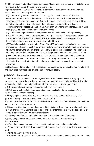\$1,000 for the second and subsequent offenses. Magistrates have concurrent jurisdiction with circuit courts to enforce the provisions of this article.

(b) Civil penalties. — Any person violating a provision of this article or the rules, may be assessed a civil penalty by the commissioner.

(1) In determining the amount of the civil penalty, the commissioner shall give due consideration to the history of previous violations by the person, the seriousness of the violation, and the demonstrated good faith of the person charged in attempting to achieve compliance with this article before and after written notification of the violation. The commissioner may assess a penalty of not more than \$500 for a first offense, and not more than \$1,000 for each second and subsequent offense.

(2) In addition to a penalty assessed against an unlicensed auctioneer for practicing without the required license, the commissioner may assess penalties against an unlicensed auctioneer for violations of the provisions of this article that would have applied to the individual"s conduct had he or she held the required license.

(3) The civil penalty is payable to the State of West Virginia and is collectible in any manner provided for collection of debt. If any person liable to pay the civil penalty neglects or refuses to pay the penalty, the amount of the civil penalty, together with interest at 10 percent, is a lien in favor of the State of West Virginia upon the property, both real and personal, of the person after the same has been entered and docketed to record in the county where the property is situated. The clerk of the county, upon receipt of the certified copy of the lien, shall enter it to record without requiring the payment of costs as a condition precedent to recording.

(c) No state court may allow for the recovery of damages for any administrative action taken if the court finds that there was probable cause for such action.

#### **§19-2C-8a. Revocation.**

In addition to the penalties in section eight of this article, the commissioner may, by order, suspend, deny or revoke any license granted hereunder for any violation of this article or the rules and regulations promulgated hereunder or for any of the following reasons:

(a) Obtaining a license through false or fraudulent representation;

(b) Making any substantial misrepresentation in any application for an auctioneer"s or apprentice auctioneer"s license;

(c) Engaging in a continued or flagrant course of misrepresentation or for making false promises through an agent, advertisement or otherwise;

(d) Failing to account for or remit within a reasonable time any money belonging to others that comes into his or her possession;

(e) Being convicted in any court of competent jurisdiction of this state or any other state of a criminal offense involving moral turpitude or a felony; or for failing to notify the department of any such conviction within 15 days of conviction;

(f) Violating any other laws related to the conduct of auctions or auctioneering;

(g) Engaging in any conduct of an auctioneer which demonstrates dishonesty or incompetency;

(h) Engaging in any other conduct that constitutes fraudulent or dishonest dealing;

(i) Engaging in any other unethical conduct in the contexts of his or her work as an auctioneer; and

(j) Acting as an attorney for a client.

Any auctioneer or apprentice auctioneer who has had his or her license suspended or revoked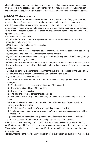shall not be issued another such license until a period not to exceed two years has elapsed from the date of revocation. The commissioner may also require the successful completion of the examinations required for an auctioneer"s license or an apprentice auctioneer"s license.

#### **§19-2C-9. Written contracts.**

(a) No person may act as an auctioneer on the sale at public auction of any goods, wares, merchandise or of any other property, real or personal, until he or she has entered into a written contract in duplicate with the owner or consignor of the property to be sold. No apprentice auctioneer may be authorized to enter into a contract without the written consent of his or her sponsoring auctioneer. All contracts shall be in the name of and on behalf of the sponsoring auctioneer.

(b) The written contract shall:

(1) State the terms and conditions upon which the auctioneer receives or accepts the property for sale at auction;

(2) Be between the auctioneer and the seller;

(3) Be made in duplicate;

(4) Be retained by the auctioneer for a period of three years from the date of final settlement;

(5) Be furnished to each person that entered into the contract;

(6) State that an apprentice auctioneer may not contract directly with a client but only through his or her sponsoring auctioneer;

(7) State that an apprentice auctioneer may not engage in a sale with an auctioneer by whom he or she is not sponsored without first obtaining the written consent of his or her sponsoring auctioneer;

(8) Have a prominent statement indicating that the auctioneer is licensed by the Department of Agriculture and is bonded in favor of the State of West Virginia; and

(9) Include the following information:

(A) The name, address and phone number of the owner of the property to be sold or the consignor;

(B) The date of the auction or a termination date of the contract;

(C) The terms and conditions of the auction;

(D) The location of the auction;

(E) The date the owner or consignor is to be paid;

(F) A statement establishing the responsibility for bad checks, debts and unpaid auction items;

(G) A detailed list of all fees to be charged by the auctioneer, including commissions, rentals, advertising and labor;

(H) A statement of the auctioneer"s policy regarding absentee bidding;

(I) A statement above the owner"s signature line: "I have read and accept the terms of the contract"; and

(J) A statement indicating that an explanation of settlement of the auction, or settlement sheet, will be provided to the owner or consignor at the end of the auction.

(c) As a condition of entering into a contract, the auctioneer shall be provided with proof or certificate of ownership for all titled property, or assurances of ownership for all other property. The auctioneer shall have such proof or certificate or ownership with him or her at the time the auction is held.

(d) Notwithstanding the provisions of subsection (a) of this section, an auctioneer may conduct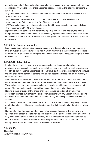an auction on behalf of an auction house or other business entity without having entered into a contract directly with the seller of the auctioned goods, so long as the following conditions are satisfied:

(1) The auction house or business must have a written contract with both the seller of the goods and the auctioneer;

(2) The contract between the auction house or business entity must satisfy all the requirements set forth in subsection (b) of this section; and

(3) The auction house or business entity must file with the commissioner a bond satisfying the requirements of §19-2C-4 of this code.

(e) By entering into contracts with sellers of property pursuant to this section, the owners and partners of any auction house or business entity agree to submit to the jurisdiction of the commissioner and the Board of Review and are subject to the penalties set forth in §19-2C-8 of this code.

#### **§19-2C-9a. Escrow accounts.**

Each auctioneer shall maintain an escrow account and deposit all moneys from each sale from an auction in the escrow account within twenty-four hours of the completion of the sale or on the first business day following the sale, unless the owner or consignor was paid in cash directly at the end of the sale.

#### **§19-2C-10. Advertising.**

In advertising an auction sale by any licensed auctioneer, the principal auctioneer or auctioneers who physically conduct the sale shall be listed prominently in such advertising as used by said auctioneer or auctioneers. The individual auctioneer or auctioneers who conduct the sale shall be the person or persons who call for, accept and close bids on the majority of items offered for sale.

Any apprentice auctioneer who advertises, as provided in this section, shall indicate in his or her advertisement the name of the sponsoring auctioneer under whom he or she is licensed. The auctioneer"s name and license number shall be displayed in equal prominence with the name of the apprentice auctioneer and license number in such advertisement.

Nothing in the provisions of this article shall be construed so as to prohibit any other auctioneer, licensed pursuant to this article, from assisting with any auction, notwithstanding the failure to list the name of the other auctioneer in any advertising associated with such auction.

It is unlawful to conduct or advertise that an auction is absolute if minimum opening bids are required or other conditions are placed on the sale that limit the sale other than to the highest bidder.

No property other than the property of a specified deceased person or the property of a specified living person"s estate may be sold at auction if the auction is conducted or advertised only as an estate auction. However, property other than that of the specified estate may be sold at the sale if all advertisements for the sale specify that items will be sold that do not belong to the estate and those items are identified at the sale.

#### **§19-2C-11.**

Repealed. Acts, 1991 Reg. Sess., Ch. 123.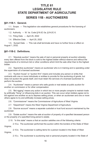# **TITLE 61 LEGISLATIVE RULE STATE DEPARTMENT OF AGRICULTURE SERIES 11B - AUCTIONEERS**

#### **§61-11B-1. General.**

1.1. Scope. -- This legislative rule establishes general procedures for the licensing of auctioneers.

1.2. Authority. -- W. Va. Code §19-2C-3a, §19-2C-5.

1.3. Filing Date. -- April 25, 2022

1.4. Effective Date. -- April 25, 2022

1.5. Sunset Date. -- This rule shall terminate and have no further force or effect on August 1, 2032.

#### **§61-11B-2. Definitions.**

2.1. "Absolute auction" means the sale of real or personal property at auction whereby every item offered from the block is sold to the highest bidder without reserve and without the requirements of a minimum bid or other conditions which limit the sale other than to the highest bidder.

2.2. "Apprentice auctioneer" means an auctioneer who is in training and is operating under the supervision of a licensed auctioneer.

2.3. "Auction house" or "auction firm" means and includes any person or entity that contracts with one or more individuals or entities to provide for the auctioning of goods, but does not auction the goods itself, and must retain the services of a licensed auctioneer to perform the auction.

2.4. "Auctioneer" means a person who sells goods or real estate at public auction for another on commission or for other compensation.

2.5. "Bid rigging" means any action in which two or more people conspire to restrain trade by artificially "fixing" or influencing bids in an auction. This can occur when bidders agree not to bid against one another so as to depress selling prices, or when an auctioneer and one or more others agree to try and artificially increase selling prices.

2.6. "Commissioner" means the Commissioner of Agriculture of West Virginia.

2.7. "Department" means the West Virginia Department of Agriculture.

2.8. "Escrow account" means a separate custodial or trust fund account maintained by the auctioneer.

2.9. "Estate auction" means the sale at auction of property of a specified deceased person or the property of a specified living person's estate.

2.10. "In this state" means a that an auction satisfies one of the following criteria:

 2.10.a. The auctioneer performed the auction within the borders of the State of West Virginia;

 2.10.b. The auctioneer is selling items for a person located in the State of West Virginia;

2.10.c. The auctioneer is auctioning real or personal property located in the State of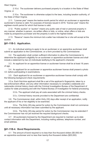West Virginia;

 2.10.d. The auctioneer delivers purchased property to a location in the State of West Virginia; or

 2.10.e. The auctioneer is otherwise subject to the laws, including taxation authority, of the State of West Virginia.

2.11. "License year" means the twelve-month period for which an auctioneer or apprentice auctioneer's license is valid. For purposes of licenses issued in 2019, "license year" means the eighteen-month period for which that license is valid.

2.12. "Public auction" or "auction" means any public sale of real or personal property in any manner, whether in-person, via written offers or bids, or online, when offers or bids are made by prospective purchaser and the property is sold to the highest bidder.

2.13. "Reserve" means the minimum bid a seller has indicated he or she will accept at the auction.

#### **§61-11B-3. Application.**

3.1. An individual wishing to apply to be an auctioneer or an apprentice auctioneer shall submit an application to the Commissioner, on a form provided by the Commissioner.

3.2. The application shall contain sufficient information to allow the Commissioner to determine the applicant's eligibility for an auctioneer or apprentice auctioneer license and shall include a statement by two (2) individuals testifying to the applicant's character.

3.3. An applicant for an apprentice license or auctioneer license shall be at least 18 years of age.

3.4. An applicant for an auctioneer or apprentice auctioneer license shall present a photo I.D. before participating in examinations.

3.5. Each applicant for an auctioneer or apprentice auctioneer license shall comply with the following background check requirements:

3.5.a. Each first-time applicant shall file a set of the applicant's fingerprints, taken by a law-enforcement officer, and any other information necessary to complete a statewide and nationwide criminal history check with the Criminal Investigation Bureau of the Department of Justice for state processing and with the Federal Bureau of Investigation for federal processing.

3.5.b. The applicant shall pay all costs associated with the criminal history checks.

3.5.c. Criminal history records provided to the Department are confidential.

3.6. The Commissioner shall, within thirty (30) days after receipt of an application, notify the applicant of his or her eligibility to be examined.

 3.6.a. The thirty (30)-day period for action by the Commissioner shall not commence until all necessary information has been submitted by the applicant.

 3.6.b. The thirty (30)-day period for action by the Commissioner may be extended if the Commissioner has not yet received the required background checks.

3.7. All auctioneers licensed by the Department are required to maintain up-to-date contact information with the Department, including mailing address, telephone number, and email address.

#### **§61-11B-4. Bond Requirements.**

4.1 The amount of bond required is no less than five thousand dollars (\$5,000) for an apprentice auctioneer and no less than twenty-five thousand dollars (\$25,000)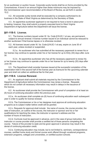for an auctioneer or auction house. Corporate surety bonds shall be on forms provided by the Commissioner. A bond in an amount higher than these minimums may be imposed by the Commissioner upon recommendation of the Board of Review, as set forth in section 15.2.

4.2. All corporate surety bonds shall be executed by a company authorized to do business in the State of West Virginia as determined by the Secretary of State.

4.3. An apprentice auctioneer applicant is not required to have a bond in place prior to testing; however, they shall submit a properly executed bond to West Virginia Department of Agriculture before the Department will issue the license.

#### **§61-11B-5. License.**

5.1. The license numbers issued under W. Va. Code §19-2C-1 et seq. are permanent, subject to annual renewal. A license number issued to an individual cannot be reissued to another auctioneer if that license lapses or is otherwise revoked.

5.2. All licenses issued under W. Va. Code §19-2C-1 et seq. expire on June 30 of each year, unless revoked or suspended.

 5.2.a. An auctioneer who has submitted all the necessary paperwork to renew his or her license may continue to operate under his or her license for up to thirty (30) days after June 30.

 5.2.b. An apprentice auctioneer who has all the necessary paperwork to renew his or her license may continue to operate under his or her license for up to twenty (20) days after June 30.

5.3. The Department shall consider licenses issued at the successful completion of the examination held in the second half of the license year as licensure for the upcoming calendar year and shall not collect an additional fee for that year.

#### **§61-11B-6. License Renewal.**

6.1. An applicant shall submit all materials required by the Commissioner to the Department of Agriculture before the Commissioner may renew a license. Requests which do not contain all necessary information may result in delays in the issuance of the license.

6.2. An auctioneer shall provide the Commissioner with proof of completion of at least six (6) hours of continuing education within the previous year.

6.2.a. An auctioneer shall complete six (6) hours of continuing education each subsequent year in order to qualify for license renewal.

6.2.b. The Commissioner or his or her designee must approve all continuing education programs as to subject matter before credit will be granted.

6.2.c. Requests for approval shall include: the name of course, the course provider, the date of instruction, an outline of the course, the instructor or sponsor and his or her qualifications for teaching the class, the instructor or sponsor's address and the number of hours of instruction.

6.2.d. Curricula must be approved in advance, and in the case of group instruction, the instructor or course provider shall provide a certified list of those persons completing the course. Failure of the provider to seek and be given approval in advance may result in the denial of continuing education credit.

6.2.e. Continuing education may include, but is not limited to, seminars, correspondence courses, certified home study and formal course work offered through vocational programs, extension programs, colleges and universities, or certified auction schools.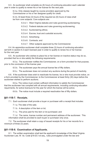6.3. An auctioneer shall complete six (6) hours of continuing education each calendar year in order to qualify to renew his or her license for the next year.

> 6.3.a. Only classes taught by course providers approved by the Commissioner or his or her designee qualify for credit.

 6.3.b. At least three (3) hours of the required six (6) hours of class shall be from core subjects. Core subjects are:

6.3.b.1. West Virginia statutes and rules governing auctioneering;

- 6.3.b.2. Federal statutes and rules governing auctioneering;
- 6.3.b.2. Auctioneering ethics;
- 6.3.b.4. Escrow, trust and custodial accounts;
- 6.3.b.5. Advertising;
- 6.3.b.6. Contracts; and
- 6.3.b.7. Other subjects approved by the Commissioner.

6.4. An apprentice auctioneer shall complete three (3) hours of continuing education set forth in section 6.3 each licensed year in order to qualify to renew his or her license for the next year

6.5. An auctioneer who wishes to place his or her license on inactive status may do so, provided that he or she satisfy the following requirements:

6.5.a. The auctioneer notifies the Commissioner, on a form provided for that purpose, prior to the conclusion of the license year.

6.5.b. The auctioneer pays the annual license fee of fifty dollars.

6.5.c. The auctioneer does not conduct any auctions during the period of inactivity.

6.6. If the auctioneer does wish to reactivate his license, he or she must provide notice, on a form provided by the Commissioner, to the Commissioner at least thirty (30) days before the auctioneer wishes to perform auctions.

6.6.a. The notice must contain sufficient information to satisfy the Commissioner that the auctioneer has complied with all annual requirements, including continuing education requirments, for active licensure for the year for which the license will be active.

6.6.b. The notice must include a required reactivation fee of fifty dollars.

#### **§61-11B-7. Receipts.**

7.1. Each auctioneer shall provide a buyer or purchaser with a receipt that includes:

7.1.a. The date of the sale;

7.1.b. A description of the item or lot;

7.1.c. The price paid for the item or lot purchased; and

 7.1.d. The name, license number and permanent address of the auctioneer. This information shall be provided to each buyer or purchaser only once.

7.2. The auctioneer shall retain a copy of issued receipts for his or her records for a minimum of three (3) years.

#### **§61-11B-8. Examination of Applicants.**

8.1. The written examination shall test the applicant's knowledge of the West Virginia Auctioneer Law, W. Va. Code §19-2C-l et seq., rules promulgated under the law and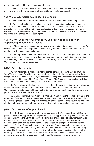other fundamentals of the auctioneering profession.

8.2. The oral examination shall test the auctioneer's competency in conducting an auction, and his or her knowledge of all applicable laws, state and federal.

#### **§61-11B-9. Accredited Auctioneering Schools.**

9.1. The Commissioner shall annually issue a list of accredited auctioneering schools.

9.2. Any school wishing to be included on the list of accredited auctioneering schools shall submit to the Commissioner a complete curriculum, a course schedule, a list of the instructors, credentials of the instructors, the location of the school, the cost and any other information considered necessary by the Commissioner for a decision on the qualifications of the school to be accredited in West Virginia.

#### **§61-11B-10. Suspension, Revocation, Expiration or Termination of Supervising Auctioneer's License.**

10.1. The suspension, revocation, expiration or termination of a supervising auctioneer's license shall automatically suspend the license of any apprentice auctioneer sponsored or employed by the suspended auctioneer.

10.2. An apprentice auctioneer may retain an apprentice by transferring to the sponsorship of another licensed auctioneer: Provided, that the request for the transfer is made in writing and according to the procedures outlined in W. Va. Code §19-2C-6, and approved by the Commissioner or his or her designee.

#### **§61-11B-11. Reciprocity.**

11.1. Any holder of a a valid auctioneer's license from another state may be granted a West Virginia license. Provided, that the state in which he or she is licensed provides similar recognition to a licensee of this State, and that the licensing requirements of the reciprocal state are at least equal to those of the State of West Virginia. The Commissioner shall annually issue a list of states with whom reciprocity has been formally approved.

11.2. Any auctioneer who has practiced in a state that has no licensing law for auctioneers and wishes to obtain a West Virginia license shall submit all information required for the Commissioner to determine that he or she has been a practicing auctioneer for a period of two years preceding the date of the application.

11.3. Once an individual has received a West Virginia auctioneer's license pursuant to the provisions of this section, he or she becomes subject to all other licensure requirements of this rule, including those relating to expired, revoked, or lapsed license. An individual who has once obtained a license through reciprocity may not obtain another license in the same manner.

#### **§61-11B-12. Waiver of Apprenticeship.**

12.1. The Commissioner may, with the concurrence of the Auctioneer Board of Review, grant a wavier of the apprenticeship requirements. For an applicant to be granted a wavier, he or she shall petition the Commissioner for a waiver and provide certified documentation as to the qualifications of the candidate to be an auctioneer without serving an apprenticeship. This documentation shall include formal training in the profession, exceptional practical training such as verification of conducting charity or other types of auctions which are exempt from the licensing requirements, and any other information to assist the Commissioner in making a ruling. The Commissioner may grant a waiver only under exceptionalcircumstances, after receiving concurrence from the Auctioneer Board of Review, and shall not consider them a routine matter. Under no circumstances shall the Commissioner grant a wavier if it is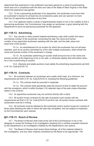determined that experience in the profession has been gained as a result of auctioneering which was not in compliance with the laws and rules of the State of West Virginia or the State where the experience was gained.

12.2. To be a sponsoring auctioneer of an apprentice, the auctioneer must have held an auctioneer's license for at least two (2) consecutive years and can sponsor no more than two (2) apprentice auctioneers at any time.

12.3. If an applicant seeks a wavier of apprenticeship based on his or her inability to find a sponsoring auctioneer, the Commissioner may assign an auctioneer in good standing with the Department to serve as sponsoring auctioneer for the applicant.

#### **§61-11B-13. Advertising.**

13.1. Any circular or other printed material advertising a sale shall contain the name and license number of the auctioneer conducting the sale, the name and license number of any apprentice auctioneer assisting with the sale, and the date, place and exact time of the auction.

 13.1.a. An advertisement for an auction for which the auctioneer has not yet been selected, such as an auction advertised by a firm with multiple auctioneers, shall contain the name and license number of the auctioneer in charge.

 13.1.b. An auctioneer performing an auction shall announce his or her name and license number at the beginning of his or her sale, or otherwise display that information when he or she is performing an auction.

 13.2. Absolute and estate auctions must satisfy the advertising requirements set forth in W. Va. Code §19-2C-10.

#### **§61-11B-14. Contracts.**

14.1. All contracts between an auctioneer and a seller shall meet, at a minimum, the requirements set forth in W. Va. Code §19-2C-9, including the following guidelines:

14.1.a. The contract shall be executed in duplicate;

14.1.b. The contract shall specifically state the amount of time to settle the account with the consignors, which is within fourteen (14) calendar days of the sale unless otherwise stated in the contract.

14.2. An apprentice auctioneer may not contract directly with a client.

14.3. All auction house contracts for the sale of property must comply with the requirements set forth in W. Va. Code §19-2C-9 and this rule. All auction house contracts with auctioneers must be in writing.

14.4. All contracts must be retained by the auctioneer and/or auction house for a period of three years following the date on which the sale was completed, and are subject to inspection by the Commissioner upon request.

#### **§61-11B-15. Board of Review.**

15.1. The Board of Review shall meet at the call of the Commissioner or his or her designee to review the findings of an investigation resulting from a verified complaint received by the Department or an investigation initiated by the Department's own actions.

15.2. The Board of Review shall review these findings, all of the material related to the investigation, and any other material considered by the Board to be appropriate. The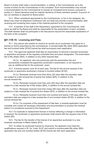Board of review shall make a recommendation, in writing, to the Commissioner as to the course of action for the Commissioner on the complaint. Such recommendation may include a recommendation for the Commissioner to impose an increased bond amount, pursuant to section 4.1. Board decisions shall be majority decisions of those members present. A quorum of two (2) members is required for Board action.

15.3. When considered appropriate by the Commissioner, or his or her designee, the Board may meet via telephone conference call, but shall only provide a recommendation after receiving and reviewing hard copies of the material pertinent to the complaint.

15.4. A member of the staff of the Department, appointed by the Commissioner, shall serve as staff for the Board and shall be responsible for the presentation of each complaint. The staff member shall not participate in the discussions beyond the reasonable explanation of the facts of the complaint.

#### **§61-11B-16. Licensing and Fees.**

16.1. Any person who wishes to conduct an auction as an auctioneer may apply for a license on forms prescribed by the commissioner. A nonreturnable fifty dollar (\$50) application fee and hundred dollar (\$100) license fee shall accompany each application.

16.2. The approved applicant shall take an examination to become a licensed auctioneer or apprentice auctioneer at the regularly scheduled time and place designated. The examination fee is fifty dollars (\$50), in addition to any other required fees.

 16.2.a. An applicant, who has previously paid the examination fee and successfully completed the apprentice auctioneer's examination, is not required to pay an additional fee for the auctioneer exam.

16.3. A license expires June 30 of each year, The fee for the annual renewal of the auctioneer or apprentice auctioneer's license is hundred dollars (\$100).

 16.3.a. Renewals received more than thirty (30) days after the expiration date are subject to a late renewal fee of twenty-five dollars (\$25), in addition to the annual renewal fee.

 16.3.b. Renewals received more than sixty (60) days after the expiration date are subject to a late renewal fee of fifty dollars (\$50), in addition to the annual renewal fee.

 16.3.c. Renewals received more than ninety (90) days after the expiration date are subject to a late renewal fee of seventy-five dollars (\$75), in addition to the annual renewal fee.

 16.3.d. Renewals received more than one hundred and twenty (120) days after the expiration date are subject to a late renewal fee of one hundred dollars (\$100), in addition to the annual renewal fee.

 16.3.e. For purposes of the assessment of late fees, a renewal application must be complete and contain all necessary information and documentation to process the renewal before it is considered received by the Department.

16.4. If a duplicate or replacement license or license reflecting a change in information is required, the auctioneer or apprentice auctioneer shall submit with the request a fee of five dollars (\$5).

16.5. The fee for the transfer of the license of an apprentice auctioneer to a new employer auctioneer is fifteen dollars (\$15).

16.6. To obtain an auctioneer license by reciprocity, the applicant must meet the qualifications required in W. Va. Code 19-2C and submit a nonreturnable fifty dollar (\$50) application fee and one hundred dollars (\$100) license fee with each application.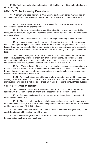16.7 The fee for an auction house to register with the Department is one hundred dollars (\$100) annually.

#### **§61-11B-17. Auctioneering Exemptions.**

17.1. A person who does not have a West Virginia auctioneer license may conduct an auction on behalf of a charitable organization, provided the person conducting the auction:

 17.1.a. Receives no monetary compensation for his or her services, or for any services associated with the charitable event.

 17.1.b. Does not engage in any activities related to the sale, such as soliciting items, setting minimum bids, or other traditional auctioneering activities, other than volunteer auction services; and

17.1.c. Records charitable auctions on forms prescribed by the commissioner.

 17.1.d. An unlicensed auctioneer may only conduct four (4) charitable auctions in a 12-month period. Special requests to allow for more than four (4) charitable auctions per licensed year may be submitted to the Commissioner in writing, detailing specific reasons to exceed the charitable auction limit and justification for not acquiring West Virginia auctioneer license.

17.2. Any person listing goods for sale at public auction or auction on the Internet which includes live, real-time, extended, or any similar such event as may be devised with the development of technology or any combination of such and increases in bid increments, is subject to the rules and regulations set forth therein and W.Va. Code 19-2C.

 17.2.a. The provisions of this section do not apply to e-commerce corporations or marketplaces that facilitate or provide consumer-to-consumer or business-to-consumer sales through its website and provide internal buyer and seller protections to its participants, e.g., eBay or similar auction-based websites.

 17.2.b. Auctions that are held utilizing a platform owned or operated by the person offering the items for sale at public auction or auction are not subject to this exemption, and the individual operating such a website or software must hold a license to conduct those auctions

#### **§61-11B-18. Auction Houses.**

18.1. Any individual or business entity operating as an auction house is required to register with the Commissioner, on a form to be prescribed by the Commissioner.

 18.1.a. Each auction house shall be required to pay the registration fee set forth in section sixteen of this rule.

18.1.b. The registration shall also include a verification stating that, by engaging in auction house activities, it is subject to the oversight of the Commissioner, the Board of Review, and the requirements of §19-2C-1 et seq.

18.2. An auction house or auction firm shall, at the time it submits its registration, file the surety bond required by section four of this rule.

18.3. Auction house registrations shall expire on June 30 of each year. Each auction house must annually renew its registration.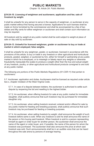# **PUBLIC MARKETS**

*Chapter 19, Article 2A. Public Markets*

#### **§19-2A-10. Licensing of weighmen and auctioneers; application and fee; sale of livestock by weight.**

It shall be unlawful for any person to serve in the capacity of weighman, or auctioneer at any public market without first having secured a license. Applications for such licenses shall be made on forms furnished by the commissioner and shall be accompanied by a fee of two dollars and fifty cents for either weighman or auctioneer and shall contain such information as may be required.

All livestock sold by weight at any public market shall be sold subject to weight at place of sale on day sold by auctioneer.

#### **§19-2A-13. Unlawful for licensed weighman, grader or auctioneer to buy or trade at market in which employed; false weights.**

It shall be unlawful for any weighman, grader, or auctioneer, licensed in accordance with the provisions of this article, to buy or trade in any livestock or other agricultural and horticultural products, graded, weighed, or auctioned by him, either for himself or partnership at any public market in which he is employed, or to misweigh or falsely report any weights or otherwise fraudulently manipulate the scales to produce a weight other than the true and actual weight of any livestock, poultry, or other agricultural and horticultural products consigned to and sold at any public market.

*The following are portions of the Public Markets Regulations (61-CSR-11) that pertain to auctioneers:*

5.7. Auctioneer, application and duties. Auctioneers shall be licensed as required under article two-c, chapter nineteen of the West Virginia Code.

5.7.1. In case of a dispute between bidders, the auctioneer is authorized to settle such dispute by reopening the bid and reselling to the highest bidder.

5.7.2. An auctioneer, when offering livestock for sale at any public market for immediate slaughter, shall publicly announce that such livestock may be purchased for immediate slaughter only.

5.7.3. An auctioneer, when selling livestock received, entered and/or offered for sale by any public market for feeding and breeding purposes, shall publicly announce that such livestock may be purchased for feeding or breeding purposes.

5.7.4. An auctioneer, when selling livestock by weight, shall announce the weight of such livestock before same is sold. When any livestock is sold he shall announce the name of the person or firm buying said livestock. When livestock is sold to a person representing himself as agent or order buyer for another person, the auctioneer shall announce the name of the agent or order buyer, and, if possible, the name of the person for whom the livestock was purchased. The auctioneer shall also announce the price at which said livestock was sold. Such announcements shall be in an audible voice that can be heard throughout the sale arena by persons of average hearing.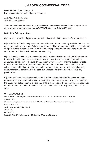# **UNIFORM COMMERCIAL CODE**

West Virginia Code, Chapter 46 Provisions that pertain directly to auctioneers:

46-2-328. Sale by Auction 46-9-501. Filing Office

The entire code can be found in your local library under West Virginia Code, Chapter 46 or online at http://www.legis.state.wv.us/WVCODE/Code.cfm?chap=46&art=1

#### **§46-2-328. Sale by auction.**

(1) In a sale by auction if goods are put up in lots each lot is the subject of a separate sale.

(2) A sale by auction is complete when the auctioneer so announces by the fall of the hammer or in other customary manner. Where a bid is made while the hammer is falling in acceptance of a prior bid the auctioneer may in his discretion reopen the bidding or declare the goods sold under the bid on which the hammer was falling.

(3) Such a sale is with reserve unless the goods are in explicit terms put up without reserve. In an auction with reserve the auctioneer may withdraw the goods at any time until he announces completion of the sale. In an auction without reserve, after the auctioneer calls for bids on an article or lot, that article or lot cannot be withdrawn unless no bid is made within a reasonable time. In either case a bidder may retract his bid until the auctioneer's announcement of completion of the sale, but a bidder's retraction does not revive any previous bid.

(4) If the auctioneer knowingly receives a bid on the seller's behalf or the seller makes or procures such a bid, and notice has not been given that liberty for such bidding is reserved, the buyer may at his option avoid the sale or take the goods at the price of the last good faith bid prior to the completion of the sale. This subsection shall not apply to any bid at a forced sale.

#### OFFICIAL COMMENT

ALR references. – Title to goods, as between purchaser from, and one who entrusted them to, auctioneer, 36 ALR2d 1362. Withdrawal of property from auction sale, 37 ALR2d 1049 Auctioneer's action got commissions against seller, 38 ALR4th 170. Auction sales under UCC § 2-328, 44 ALR4th 110. ART 5. FILING.

Subpart 1. Filing Offi ce; Contents and Effectiveness of Financing Statement.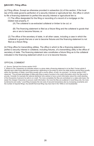#### **§46-9-501. Filing office.**

(a) Filing offices. Except as otherwise provided in subsection (b) of this section, if the local law of this state governs perfection of a security interest or agricultural lien, the office in which to file a financing statement to perfect the security interest or agricultural lien is:

(1) The office designated for the filing or recording of a record of a mortgage on the related real property, if:

(A) The collateral is as-extracted collateral or timber to be cut; or

(B) The financing statement is filed as a fixture filing and the collateral is goods that are or are to become fixtures; or

(2) The office of the secretary of state, in all other cases, including a case in which the collateral is goods that are or are to become fixtures and the financing statement is not filed as a fixture filing.

(b) Filing office for transmitting utilities. The office in which to file a financing statement to perfect a security interest in collateral, including fixtures, of a transmitting utility is the office of secretary of state. The financing statement also constitutes a fixture filing as to the collateral indicated in the financing statement which is or is to become fixtures.

#### OFFICIAL COMMENT

s1. Source. Derived from former section 9-401.

2. Where to File. Subsection (a) indicates where in a given state a financing statement is to be filed. Former article 9 afforded each state three alternative approached, depending on the extent to which the state desires central filing (usually within the Secretary of State), local filing (usually with a county office), of both. As comment 1 to former section 9-401 observed, "The principal advantage of state-wide filing is ease of access to the credit information which the files exist to provide. Consider for example the national distributor who wishes to have current information about the credit standing of the thousands of persons he sells to on credit. The more completely the files are centralized on a state-wide basis, the easier the cheaper it becomes to procure credit information; the more the files are scattered in local filing units, the more burdensome and costly." Local filing increases the net costs of secured transactions also by increasing uncertainty and the number of required filings. Any benefit that local filing may have had in the 1950s is not insubstantial.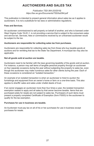# **AUCTIONEERS AND SALES TAX**

*Publication TSD-364 (03/2018) https://tax.wv.gov/Documents/TSD/tsd364.pdf*

This publication is intended to present general information about sales tax as it applies to auctioneers. It is not a substitute for tax laws or administrative regulations.

#### **Fees and Services.**

An auctioneer commissioned to sell property on behalf of another, and who is licensed under West Virginia Code 19-2C-1, is not providing a service that is subject to the consumers sales and service tax. Services, fees or commissions received by an unlicensed auctioneer would be subject to the tax.

#### **Auctioneers are responsible for collecting sales tax from purchases.**

Auctioneers are responsible for collecting sales tax from those who buy taxable goods at auctions and for remitting that tax to the State Tax Department. A municipal tax may also be applicable.

#### **Not all goods sold at auction are taxable.**

Auctioneers need to be familiar with the laws governing taxability of the goods sold at auction. For instance, a person may sell items of tangible personal property through an auctioneer on four separate occasions during the year without subjecting the property to sales tax, even though the auctioneer may make numerous sales for other clients during the year. Each of these occasions is considered an "isolated transaction."

An example of an isolated transaction is when an auctioneer is hired to auction the furnishings and equipment from an owner's home or farm on a one-time basis. This also applies to sheriffs' sales and sales under chattel deeds of trust.

If an owner engages an auctioneer more than four times a year, the isolated transaction exemption ceases to apply and all sales by that owner become taxable. Items that are purchased solely for resale are not subject to sales tax. Purchasers of such items must present a properly completed Certificate of Exemption (form F0003) to the auctioneer to qualify for the tax exemption.

#### **Purchases for use in business are taxable.**

An Auctioneer must pay tax on all of his or her purchases for use in business except purchases for resale.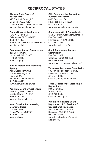# **RECIPROCAL STATES**

#### **Alabama State Board of Auctioneers**

610 South McDonough St. Montgomery, AL 36104 (334) 269-9990 or (866) 873-4264 www.auctioneer.state.al.us

#### **Florida Board of Auctioneers**

1940 N. Monroe St. Tallahassee, FL 32399-0783 (850) 487-1395 www.myfloridalicense.com/DBPR/pro/ auct/index.html

#### **Georgia Auctioneer Commission**

237 Coliseum Dr. Macon, GA 31217-3858 (478) 207-2440 www.sos.ga.gov/

#### **Indiana Professional Licensing Agency**

Attn: Auctioneer Group 402 W. Washington St. Room W-072 Indianapolis, IN 46204-2700 (317) 234-3040 www.in.gov/pla/auction.htm

#### **Kentucky Board of Auctioneers**

2819 Ring Road, Suite 200 Elizabethtown, KY 42701 (502) 429-7145 www.auctioneers.ky.gov

#### **North Carolina Auctioneering Licensing Board**

108 Ber Creek Dr. Fuqua-Varina, NC 27526 (919) 567-2844 www.ncalb.org

#### **Ohio Department of Agriculture**

**Auctioneer Program** 8995 East Main St.

Reynoldsburg, OH 43068 (614) 728-6240 www.ohioagriculture.gov/auction

#### **Commonwealth of Pennsylvania**

State Board of Auctioneer Examiners P.O. Box 2649 Harrisburg, PA 17105-2649 (717) 783-3397 www.dos.state.pa.us/auct

#### **South Carolina Auctioneers**

**Commission** P.O. Box 11329 Columbia, SC 29211-1329 (803) 896-4501 www.llr.state.sc.us/pol/auctioneers/

#### **Tennessee Auctioneer Commission**

500 James Robertson Parkway Nashville, TN 37243-1152 (615) 741-3600 www.tn.gov/regboards/auction/

# **Texas Department of Licensing &**

**Regulations** P.O. Box 12157 Austin, TX 78711 (512) 463-6599 www.tdlr.texas.gov/

#### **Virginia Auctioneers Board Department of Professional & Occupational Regulation**

9960 Mayland Dr., Suite 400 Richmond, VA 23233-1485 (804) 367-8506 www.dpor.virginia.gov/boards/ auctioneers/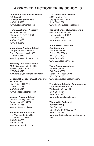# **APPROVED AUCTIONEERING SCHOOLS**

#### **Continental Auctioneers School**

P.O. Box 346 Mankato, MN 56002-0346 (507) 625-5595 www.auctioneerschool.com

#### **Florida Auctioneer Academy**

P.O. Box 121279 Clermont, FL 34712-1279 (407) 886-4900 (800) 422-9155 www.f-a-a.com

#### **International Auction School**

Douglas Auctions Route 5 South Deerfield, MA 01373 (413) 665-2877 www.douglasauctioneers.com

#### **Kentucky Auction Academy**

2435 Fitzgerald Industrial Dr. Bowling Green, KY 42104 (270) 780-9513 www.kentuckyauctionacademy.com

#### **Mendenhall School of Auctioneering**

P.O. Box 7344 High Point, NC 27264 (336) 887-1165 (888) 833-0316 www.mendenhallschool.com

#### **Missouri Auction School**

12905 S. 71 Highway #121 Grandview, MO 64030 (800) 835-1955 www.auctionschool.com

#### **Nashville Auction School**

112 West Lauderdale St. Tullahoma, TN 37388 (931) 393-4735 (800) 543-7061 www.learntoauction.com

#### **The Ohio Auction School**

4949 Hendron Rd. Groveport, OH 43125 (614) 836-2754 www.theohioauctionschool.com

#### **Reppert School of Auctioneering**

6851 Madison Avenue Indianapolis, IN 46227 (317) 300-1075 www.reppertschool.com

#### **Southeastern School of**

**Auctioneering** 315 Eastview Rd. Pelzer, SC 29669 (864) 947-2000 (800) 689-5654 www.SSAuctioneering.info

#### **Texas Auction Academy**

c/o Mike Jones P.O. Box 803503 Dallas, TX 75380-3503 (972) 387-4200 www.texasauctionacademy.com

#### **The Walton School of Auctioneering**

7996 Boneta Rd. Ste. B Wadsworth, OH 44281 (330) 607-3687 (800) 369-2818 www.waltonauctionsite.com

#### **World Wide College of Auctioneering**

P.O. Box 949 Mason City, IA 50402-0949 (800) 423-5242 www.worldwidecollegeofauctioneering. com